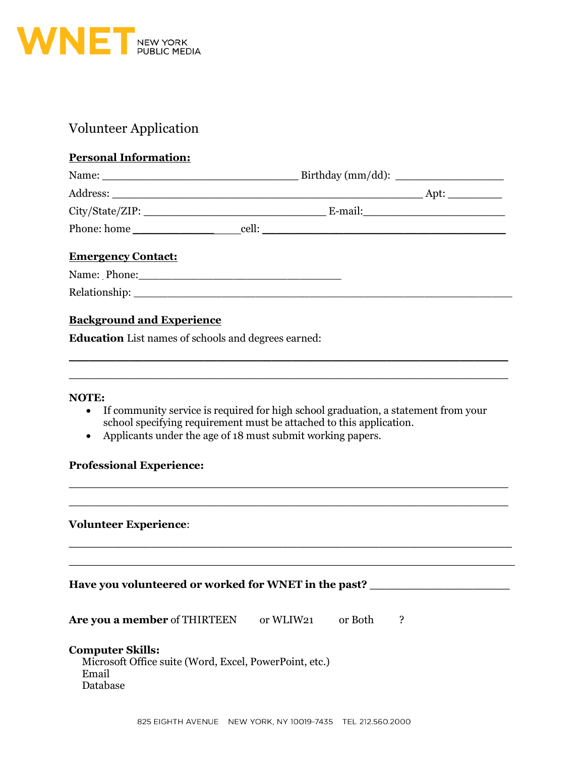

# Volunteer Application

## **Personal Information:**

| Name:<br><u> 1989 - Jan Barat, margaret al II-lea (b. 1989)</u> |       |                                     |
|-----------------------------------------------------------------|-------|-------------------------------------|
|                                                                 |       | Apt: $\_\_\_\_\_\_\_\_\_\_\_\_\_\_$ |
|                                                                 |       |                                     |
| Phone: home                                                     | cell: |                                     |
|                                                                 |       |                                     |

## **Emergency Contact:**

| Name: Phone: |  |  |  |
|--------------|--|--|--|
|              |  |  |  |

Relationship: \_\_\_\_\_\_\_\_\_\_\_\_\_\_\_\_\_\_\_\_\_\_\_\_\_\_\_\_\_\_\_\_\_\_\_\_\_\_\_\_\_\_\_\_\_\_\_\_\_\_\_\_\_\_\_\_

### **Background and Experience**

**Education** List names of schools and degrees earned:

#### **NOTE:**

• If community service is required for high school graduation, a statement from your school specifying requirement must be attached to this application.

\_\_\_\_\_\_\_\_\_\_\_\_\_\_\_\_\_\_\_\_\_\_\_\_\_\_\_\_\_\_\_\_\_\_\_\_\_\_\_\_\_\_\_\_\_\_\_\_\_\_\_\_\_\_\_\_\_\_\_\_\_\_\_\_\_ \_\_\_\_\_\_\_\_\_\_\_\_\_\_\_\_\_\_\_\_\_\_\_\_\_\_\_\_\_\_\_\_\_\_\_\_\_\_\_\_\_\_\_\_\_\_\_\_\_\_\_\_\_\_\_\_\_\_\_\_\_\_\_\_\_

\_\_\_\_\_\_\_\_\_\_\_\_\_\_\_\_\_\_\_\_\_\_\_\_\_\_\_\_\_\_\_\_\_\_\_\_\_\_\_\_\_\_\_\_\_\_\_\_\_\_\_\_\_\_\_\_\_\_\_\_\_\_\_\_\_  $\_$  , and the set of the set of the set of the set of the set of the set of the set of the set of the set of the set of the set of the set of the set of the set of the set of the set of the set of the set of the set of th

• Applicants under the age of 18 must submit working papers.

#### **Professional Experience:**

#### **Volunteer Experience**:

| Have you volunteered or worked for WNET in the past?                                                   |           |         |   |  |
|--------------------------------------------------------------------------------------------------------|-----------|---------|---|--|
| Are you a member of THIRTEEN                                                                           | or WLIW21 | or Both | 2 |  |
| <b>Computer Skills:</b><br>Microsoft Office suite (Word, Excel, PowerPoint, etc.)<br>Email<br>Database |           |         |   |  |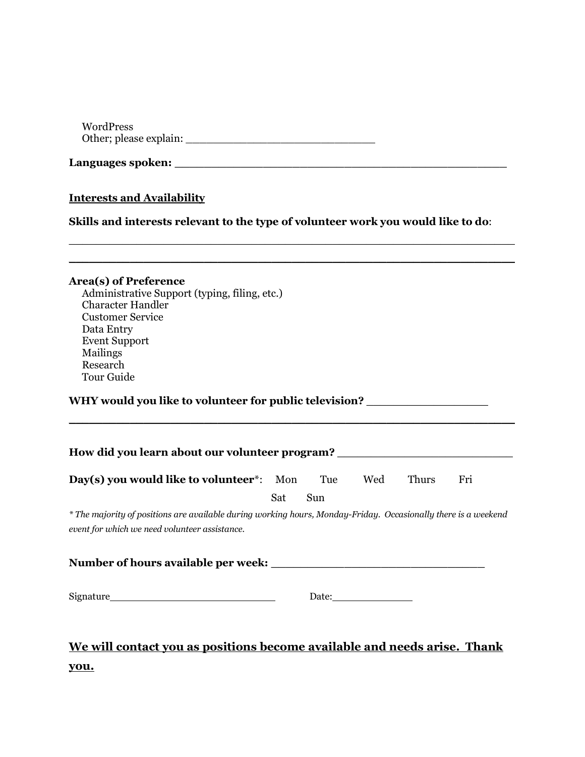WordPress Other; please explain: \_\_\_\_\_\_\_\_\_\_\_\_\_\_\_\_\_\_\_\_\_\_\_\_\_\_\_\_

| Languages spoken: |  |
|-------------------|--|
|                   |  |

## **Interests and Availability**

**Skills and interests relevant to the type of volunteer work you would like to do**:

\_\_\_\_\_\_\_\_\_\_\_\_\_\_\_\_\_\_\_\_\_\_\_\_\_\_\_\_\_\_\_\_\_\_\_\_\_\_\_\_\_\_\_\_\_\_\_\_\_\_\_\_\_\_\_\_\_\_\_\_\_\_\_\_\_\_

| Area(s) of Preference<br>Administrative Support (typing, filing, etc.)<br><b>Character Handler</b><br><b>Customer Service</b><br>Data Entry<br><b>Event Support</b><br>Mailings<br>Research<br><b>Tour Guide</b> |     |     |       |       |     |
|------------------------------------------------------------------------------------------------------------------------------------------------------------------------------------------------------------------|-----|-----|-------|-------|-----|
| WHY would you like to volunteer for public television? _________________________                                                                                                                                 |     |     |       |       |     |
| How did you learn about our volunteer program? _________________________________                                                                                                                                 |     |     |       |       |     |
| <b>Day(s) you would like to volunteer</b> *: Mon Tue Wed                                                                                                                                                         |     |     |       | Thurs | Fri |
| * The majority of positions are available during working hours, Monday-Friday. Occasionally there is a weekend<br>event for which we need volunteer assistance.                                                  | Sat | Sun |       |       |     |
|                                                                                                                                                                                                                  |     |     |       |       |     |
|                                                                                                                                                                                                                  |     |     | Date: |       |     |
| We will contact you as positions become available and needs arise. Thank                                                                                                                                         |     |     |       |       |     |

**you.**